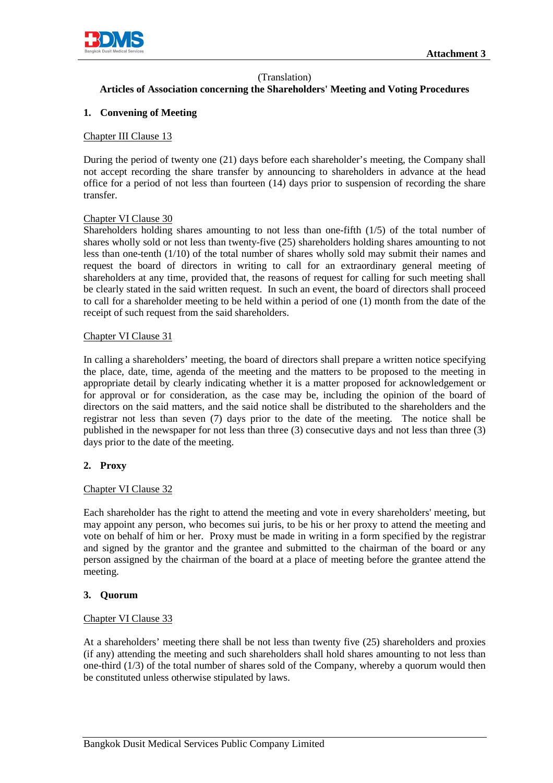

### (Translation)

# **Articles of Association concerning the Shareholders' Meeting and Voting Procedures**

### **1. Convening of Meeting**

#### Chapter III Clause 13

During the period of twenty one (21) days before each shareholder's meeting, the Company shall not accept recording the share transfer by announcing to shareholders in advance at the head office for a period of not less than fourteen (14) days prior to suspension of recording the share transfer.

#### Chapter VI Clause 30

Shareholders holding shares amounting to not less than one-fifth (1/5) of the total number of shares wholly sold or not less than twenty-five (25) shareholders holding shares amounting to not less than one-tenth (1/10) of the total number of shares wholly sold may submit their names and request the board of directors in writing to call for an extraordinary general meeting of shareholders at any time, provided that, the reasons of request for calling for such meeting shall be clearly stated in the said written request. In such an event, the board of directors shall proceed to call for a shareholder meeting to be held within a period of one (1) month from the date of the receipt of such request from the said shareholders.

#### Chapter VI Clause 31

In calling a shareholders' meeting, the board of directors shall prepare a written notice specifying the place, date, time, agenda of the meeting and the matters to be proposed to the meeting in appropriate detail by clearly indicating whether it is a matter proposed for acknowledgement or for approval or for consideration, as the case may be, including the opinion of the board of directors on the said matters, and the said notice shall be distributed to the shareholders and the registrar not less than seven (7) days prior to the date of the meeting. The notice shall be published in the newspaper for not less than three (3) consecutive days and not less than three (3) days prior to the date of the meeting.

#### **2. Proxy**

#### Chapter VI Clause 32

Each shareholder has the right to attend the meeting and vote in every shareholders' meeting, but may appoint any person, who becomes sui juris, to be his or her proxy to attend the meeting and vote on behalf of him or her. Proxy must be made in writing in a form specified by the registrar and signed by the grantor and the grantee and submitted to the chairman of the board or any person assigned by the chairman of the board at a place of meeting before the grantee attend the meeting.

#### **3. Quorum**

#### Chapter VI Clause 33

At a shareholders' meeting there shall be not less than twenty five (25) shareholders and proxies (if any) attending the meeting and such shareholders shall hold shares amounting to not less than one-third (1/3) of the total number of shares sold of the Company, whereby a quorum would then be constituted unless otherwise stipulated by laws.